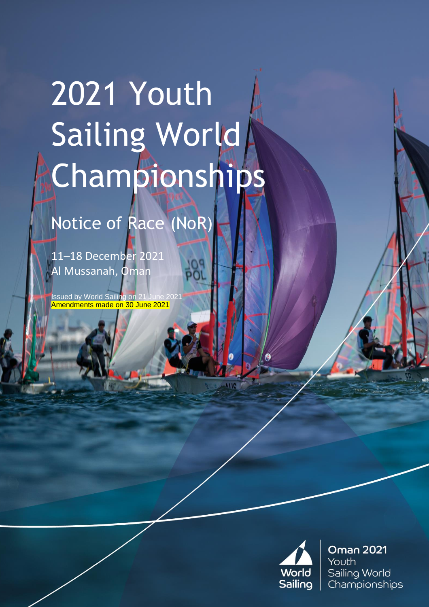# 2021 Youth Sailing World Championships

# Notice of Race (NoR)

11–18 December 2021 Al Mussanah, Oman

Issued by World Sailing on 21 June 2021 Amendments made on 30 June 2021



**Oman 2021** Youth Sailing World Championships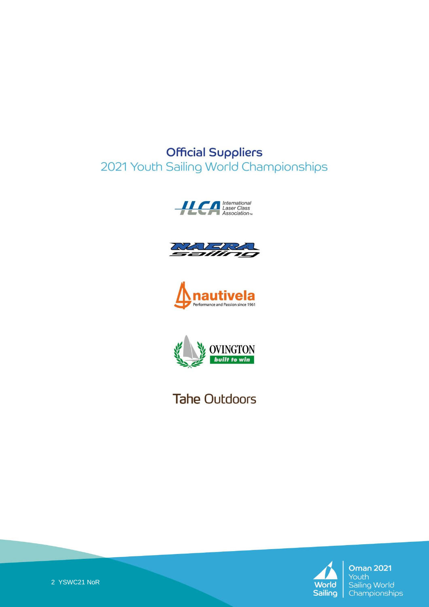#### **Official Suppliers** 2021 Youth Sailing World Championships









**Tahe Outdoors** 



**Oman 2021** Youth Sailing World Championships

2 YSWC21 NoR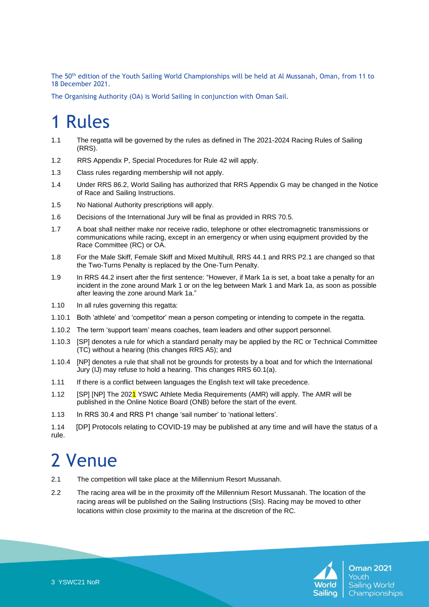The 50th edition of the Youth Sailing World Championships will be held at Al Mussanah, Oman, from 11 to 18 December 2021.

The Organising Authority (OA) is World Sailing in conjunction with Oman Sail.

### 1 Rules

- 1.1 The regatta will be governed by the rules as defined in The 2021-2024 Racing Rules of Sailing (RRS).
- 1.2 RRS Appendix P, Special Procedures for Rule 42 will apply.
- 1.3 Class rules regarding membership will not apply.
- 1.4 Under RRS 86.2, World Sailing has authorized that RRS Appendix G may be changed in the Notice of Race and Sailing Instructions.
- 1.5 No National Authority prescriptions will apply.
- 1.6 Decisions of the International Jury will be final as provided in RRS 70.5.
- 1.7 A boat shall neither make nor receive radio, telephone or other electromagnetic transmissions or communications while racing, except in an emergency or when using equipment provided by the Race Committee (RC) or OA.
- 1.8 For the Male Skiff, Female Skiff and Mixed Multihull, RRS 44.1 and RRS P2.1 are changed so that the Two-Turns Penalty is replaced by the One-Turn Penalty.
- 1.9 In RRS 44.2 insert after the first sentence: "However, if Mark 1a is set, a boat take a penalty for an incident in the zone around Mark 1 or on the leg between Mark 1 and Mark 1a, as soon as possible after leaving the zone around Mark 1a."
- 1.10 In all rules governing this regatta:
- 1.10.1 Both 'athlete' and 'competitor' mean a person competing or intending to compete in the regatta.
- 1.10.2 The term 'support team' means coaches, team leaders and other support personnel.
- 1.10.3 [SP] denotes a rule for which a standard penalty may be applied by the RC or Technical Committee (TC) without a hearing (this changes RRS A5); and
- 1.10.4 [NP] denotes a rule that shall not be grounds for protests by a boat and for which the International Jury (IJ) may refuse to hold a hearing. This changes RRS 60.1(a).
- 1.11 If there is a conflict between languages the English text will take precedence.
- 1.12 [SP] [NP] The 2021 YSWC Athlete Media Requirements (AMR) will apply. The AMR will be published in the Online Notice Board (ONB) before the start of the event.
- 1.13 In RRS 30.4 and RRS P1 change 'sail number' to 'national letters'.
- 1.14 [DP] Protocols relating to COVID-19 may be published at any time and will have the status of a rule.

#### 2 Venue

- 2.1 The competition will take place at the Millennium Resort Mussanah.
- 2.2 The racing area will be in the proximity off the Millennium Resort Mussanah. The location of the racing areas will be published on the Sailing Instructions (SIs). Racing may be moved to other locations within close proximity to the marina at the discretion of the RC.

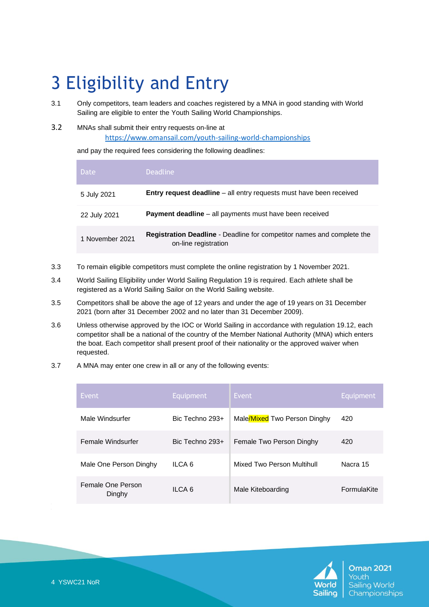# 3 Eligibility and Entry

- 3.1 Only competitors, team leaders and coaches registered by a MNA in good standing with World Sailing are eligible to enter the Youth Sailing World Championships.
- 3.2 MNAs shall submit their entry requests on-line at <https://www.omansail.com/youth-sailing-world-championships>

and pay the required fees considering the following deadlines:

| <b>Date</b>     | <b>Deadline</b>                                                                                       |
|-----------------|-------------------------------------------------------------------------------------------------------|
| 5 July 2021     | Entry request deadline - all entry requests must have been received                                   |
| 22 July 2021    | <b>Payment deadline</b> – all payments must have been received                                        |
| 1 November 2021 | <b>Registration Deadline</b> - Deadline for competitor names and complete the<br>on-line registration |

- 3.3 To remain eligible competitors must complete the online registration by 1 November 2021.
- 3.4 World Sailing Eligibility under World Sailing Regulation 19 is required. Each athlete shall be registered as a World Sailing Sailor on the World Sailing website.
- 3.5 Competitors shall be above the age of 12 years and under the age of 19 years on 31 December 2021 (born after 31 December 2002 and no later than 31 December 2009).
- 3.6 Unless otherwise approved by the IOC or World Sailing in accordance with regulation 19.12, each competitor shall be a national of the country of the Member National Authority (MNA) which enters the boat. Each competitor shall present proof of their nationality or the approved waiver when requested.
- 3.7 A MNA may enter one crew in all or any of the following events:

| Event                       | Equipment       | Event                        | Equipment          |
|-----------------------------|-----------------|------------------------------|--------------------|
| Male Windsurfer             | Bic Techno 293+ | Male/Mixed Two Person Dinghy | 420                |
| Female Windsurfer           | Bic Techno 293+ | Female Two Person Dinghy     | 420                |
| Male One Person Dinghy      | ILCA 6          | Mixed Two Person Multihull   | Nacra 15           |
| Female One Person<br>Dinghy | ILCA 6          | Male Kiteboarding            | <b>FormulaKite</b> |

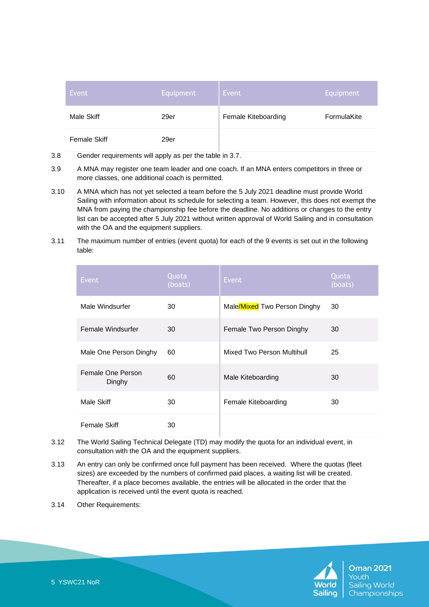| Event        | Equipment | Event               | Equipment   |
|--------------|-----------|---------------------|-------------|
| Male Skiff   | 29er      | Female Kiteboarding | FormulaKite |
| Female Skiff | 29er      |                     |             |

- 3.8 Gender requirements will apply as per the table in 3.7.
- 3.9 A MNA may register one team leader and one coach. If an MNA enters competitors in three or more classes, one additional coach is permitted.
- 3.10 A MNA which has not yet selected a team before the 5 July 2021 deadline must provide World Sailing with information about its schedule for selecting a team. However, this does not exempt the MNA from paying the championship fee before the deadline. No additions or changes to the entry list can be accepted after 5 July 2021 without written approval of World Sailing and in consultation with the OA and the equipment suppliers.
- 3.11 The maximum number of entries (event quota) for each of the 9 events is set out in the following table:

| Event                       | Quota<br>(boats) | Event                        | Quota<br>(boats) |
|-----------------------------|------------------|------------------------------|------------------|
| Male Windsurfer             | 30               | Male/Mixed Two Person Dinghy | 30               |
| Female Windsurfer           | 30               | Female Two Person Dinghy     | 30               |
| Male One Person Dinghy      | 60               | Mixed Two Person Multihull   | 25               |
| Female One Person<br>Dinghy | 60               | Male Kiteboarding            | 30               |
| Male Skiff                  | 30               | Female Kiteboarding          | 30               |
| <b>Female Skiff</b>         | 30               |                              |                  |

3.12 The World Sailing Technical Delegate (TD) may modify the quota for an individual event, in consultation with the OA and the equipment suppliers.

٠

- 3.13 An entry can only be confirmed once full payment has been received. Where the quotas (fleet sizes) are exceeded by the numbers of confirmed paid places, a waiting list will be created. Thereafter, if a place becomes available, the entries will be allocated in the order that the application is received until the event quota is reached.
- 3.14 Other Requirements:

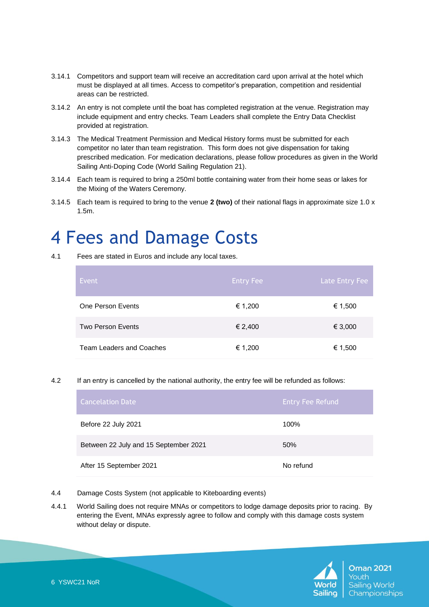- 3.14.1 Competitors and support team will receive an accreditation card upon arrival at the hotel which must be displayed at all times. Access to competitor's preparation, competition and residential areas can be restricted.
- 3.14.2 An entry is not complete until the boat has completed registration at the venue. Registration may include equipment and entry checks. Team Leaders shall complete the Entry Data Checklist provided at registration.
- 3.14.3 The Medical Treatment Permission and Medical History forms must be submitted for each competitor no later than team registration. This form does not give dispensation for taking prescribed medication. For medication declarations, please follow procedures as given in the World Sailing Anti-Doping Code (World Sailing Regulation 21).
- 3.14.4 Each team is required to bring a 250ml bottle containing water from their home seas or lakes for the Mixing of the Waters Ceremony.
- 3.14.5 Each team is required to bring to the venue **2 (two)** of their national flags in approximate size 1.0 x 1.5m.

# 4 Fees and Damage Costs

4.1 Fees are stated in Euros and include any local taxes.

| Event                           | <b>Entry Fee</b> | Late Entry Fee |
|---------------------------------|------------------|----------------|
| One Person Events               | € 1,200          | € 1,500        |
| <b>Two Person Events</b>        | € 2,400          | € 3,000        |
| <b>Team Leaders and Coaches</b> | € 1,200          | € 1,500        |

4.2 If an entry is cancelled by the national authority, the entry fee will be refunded as follows:

| <b>Cancelation Date</b>               | <b>Entry Fee Refund</b> |
|---------------------------------------|-------------------------|
| Before 22 July 2021                   | 100%                    |
| Between 22 July and 15 September 2021 | 50%                     |
| After 15 September 2021               | No refund               |

- 4.4 Damage Costs System (not applicable to Kiteboarding events)
- 4.4.1 World Sailing does not require MNAs or competitors to lodge damage deposits prior to racing. By entering the Event, MNAs expressly agree to follow and comply with this damage costs system without delay or dispute.

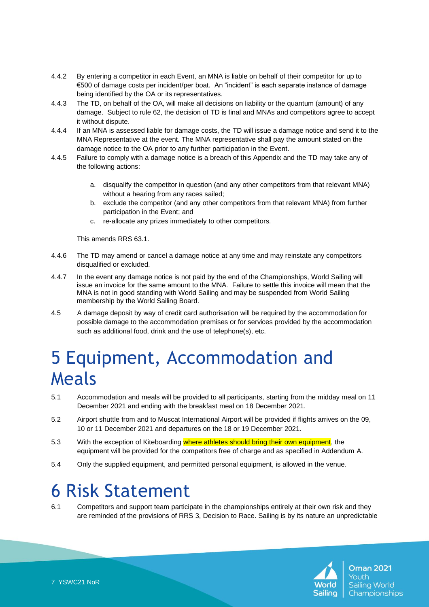- 4.4.2 By entering a competitor in each Event, an MNA is liable on behalf of their competitor for up to €500 of damage costs per incident/per boat. An "incident" is each separate instance of damage being identified by the OA or its representatives.
- 4.4.3 The TD, on behalf of the OA, will make all decisions on liability or the quantum (amount) of any damage. Subject to rule 62, the decision of TD is final and MNAs and competitors agree to accept it without dispute.
- 4.4.4 If an MNA is assessed liable for damage costs, the TD will issue a damage notice and send it to the MNA Representative at the event. The MNA representative shall pay the amount stated on the damage notice to the OA prior to any further participation in the Event.
- 4.4.5 Failure to comply with a damage notice is a breach of this Appendix and the TD may take any of the following actions:
	- a. disqualify the competitor in question (and any other competitors from that relevant MNA) without a hearing from any races sailed;
	- b. exclude the competitor (and any other competitors from that relevant MNA) from further participation in the Event; and
	- c. re-allocate any prizes immediately to other competitors.

This amends RRS 63.1.

- 4.4.6 The TD may amend or cancel a damage notice at any time and may reinstate any competitors disqualified or excluded.
- 4.4.7 In the event any damage notice is not paid by the end of the Championships, World Sailing will issue an invoice for the same amount to the MNA. Failure to settle this invoice will mean that the MNA is not in good standing with World Sailing and may be suspended from World Sailing membership by the World Sailing Board.
- 4.5 A damage deposit by way of credit card authorisation will be required by the accommodation for possible damage to the accommodation premises or for services provided by the accommodation such as additional food, drink and the use of telephone(s), etc.

### 5 Equipment, Accommodation and Meals

- 5.1 Accommodation and meals will be provided to all participants, starting from the midday meal on 11 December 2021 and ending with the breakfast meal on 18 December 2021.
- 5.2 Airport shuttle from and to Muscat International Airport will be provided if flights arrives on the 09, 10 or 11 December 2021 and departures on the 18 or 19 December 2021.
- 5.3 With the exception of Kiteboarding where athletes should bring their own equipment, the equipment will be provided for the competitors free of charge and as specified in Addendum A.
- 5.4 Only the supplied equipment, and permitted personal equipment, is allowed in the venue.

#### 6 Risk Statement

6.1 Competitors and support team participate in the championships entirely at their own risk and they are reminded of the provisions of RRS 3, Decision to Race. Sailing is by its nature an unpredictable

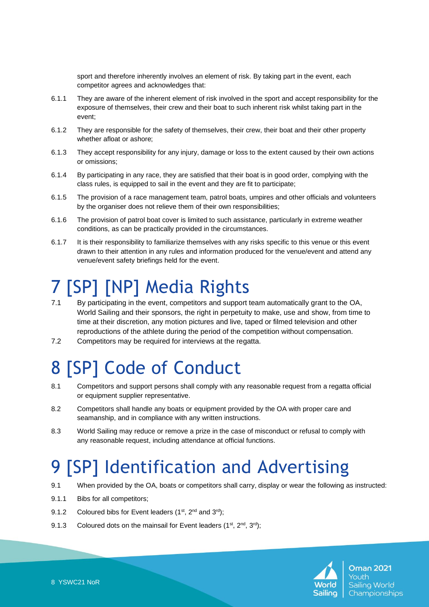sport and therefore inherently involves an element of risk. By taking part in the event, each competitor agrees and acknowledges that:

- 6.1.1 They are aware of the inherent element of risk involved in the sport and accept responsibility for the exposure of themselves, their crew and their boat to such inherent risk whilst taking part in the event;
- 6.1.2 They are responsible for the safety of themselves, their crew, their boat and their other property whether afloat or ashore;
- 6.1.3 They accept responsibility for any injury, damage or loss to the extent caused by their own actions or omissions;
- 6.1.4 By participating in any race, they are satisfied that their boat is in good order, complying with the class rules, is equipped to sail in the event and they are fit to participate;
- 6.1.5 The provision of a race management team, patrol boats, umpires and other officials and volunteers by the organiser does not relieve them of their own responsibilities;
- 6.1.6 The provision of patrol boat cover is limited to such assistance, particularly in extreme weather conditions, as can be practically provided in the circumstances.
- 6.1.7 It is their responsibility to familiarize themselves with any risks specific to this venue or this event drawn to their attention in any rules and information produced for the venue/event and attend any venue/event safety briefings held for the event.

# [SP] [NP] Media Rights

- 7.1 By participating in the event, competitors and support team automatically grant to the OA, World Sailing and their sponsors, the right in perpetuity to make, use and show, from time to time at their discretion, any motion pictures and live, taped or filmed television and other reproductions of the athlete during the period of the competition without compensation.
- 7.2 Competitors may be required for interviews at the regatta.

# 8 [SP] Code of Conduct

- 8.1 Competitors and support persons shall comply with any reasonable request from a regatta official or equipment supplier representative.
- 8.2 Competitors shall handle any boats or equipment provided by the OA with proper care and seamanship, and in compliance with any written instructions.
- 8.3 World Sailing may reduce or remove a prize in the case of misconduct or refusal to comply with any reasonable request, including attendance at official functions.

# **[SP] Identification and Advertising**

- 9.1 When provided by the OA, boats or competitors shall carry, display or wear the following as instructed:
- 9.1.1 Bibs for all competitors;
- 9.1.2 Coloured bibs for Event leaders  $(1^{st}, 2^{nd}$  and  $3^{rd}$ );
- 9.1.3 Coloured dots on the mainsail for Event leaders  $(1<sup>st</sup>, 2<sup>nd</sup>, 3<sup>rd</sup>)$ ;

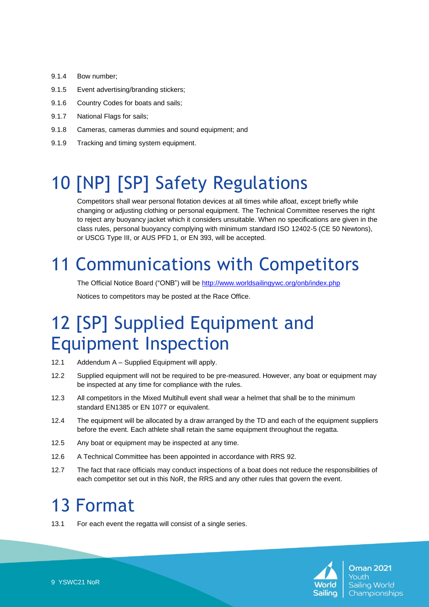- 9.1.4 Bow number;
- 9.1.5 Event advertising/branding stickers;
- 9.1.6 Country Codes for boats and sails;
- 9.1.7 National Flags for sails;
- 9.1.8 Cameras, cameras dummies and sound equipment; and
- 9.1.9 Tracking and timing system equipment.

# 10 [NP] [SP] Safety Regulations

Competitors shall wear personal flotation devices at all times while afloat, except briefly while changing or adjusting clothing or personal equipment. The Technical Committee reserves the right to reject any buoyancy jacket which it considers unsuitable. When no specifications are given in the class rules, personal buoyancy complying with minimum standard ISO 12402-5 (CE 50 Newtons), or USCG Type III, or AUS PFD 1, or EN 393, will be accepted.

# 11 Communications with Competitors

The Official Notice Board ("ONB") will be <http://www.worldsailingywc.org/onb/index.php>

Notices to competitors may be posted at the Race Office.

### 12 [SP] Supplied Equipment and Equipment Inspection

- 12.1 Addendum A Supplied Equipment will apply.
- 12.2 Supplied equipment will not be required to be pre-measured. However, any boat or equipment may be inspected at any time for compliance with the rules.
- 12.3 All competitors in the Mixed Multihull event shall wear a helmet that shall be to the minimum standard EN1385 or EN 1077 or equivalent.
- 12.4 The equipment will be allocated by a draw arranged by the TD and each of the equipment suppliers before the event. Each athlete shall retain the same equipment throughout the regatta.
- 12.5 Any boat or equipment may be inspected at any time.
- 12.6 A Technical Committee has been appointed in accordance with RRS 92.
- 12.7 The fact that race officials may conduct inspections of a boat does not reduce the responsibilities of each competitor set out in this NoR, the RRS and any other rules that govern the event.

#### 13 Format

13.1 For each event the regatta will consist of a single series.

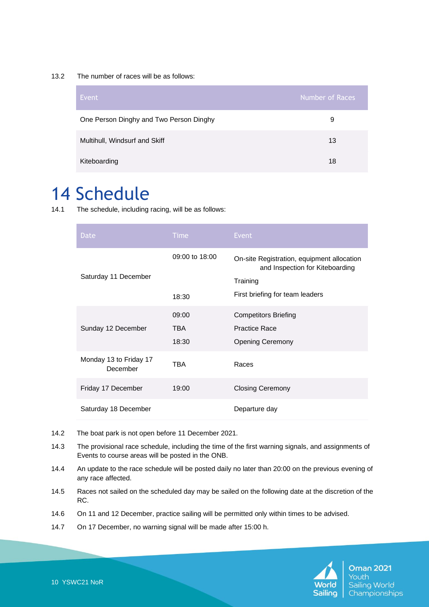13.2 The number of races will be as follows:

| Event                                   | Number of Races |
|-----------------------------------------|-----------------|
| One Person Dinghy and Two Person Dinghy | 9               |
| Multihull, Windsurf and Skiff           | 13              |
| Kiteboarding                            | 18              |

#### 14 Schedule

14.1 The schedule, including racing, will be as follows:

| <b>Date</b>                        | <b>Time</b>                  | <b>Event</b>                                                                                                                 |
|------------------------------------|------------------------------|------------------------------------------------------------------------------------------------------------------------------|
| Saturday 11 December               | 09:00 to 18:00<br>18:30      | On-site Registration, equipment allocation<br>and Inspection for Kiteboarding<br>Training<br>First briefing for team leaders |
| Sunday 12 December                 | 09:00<br><b>TBA</b><br>18:30 | <b>Competitors Briefing</b><br><b>Practice Race</b><br><b>Opening Ceremony</b>                                               |
| Monday 13 to Friday 17<br>December | TBA                          | Races                                                                                                                        |
| Friday 17 December                 | 19:00                        | <b>Closing Ceremony</b>                                                                                                      |
| Saturday 18 December               |                              | Departure day                                                                                                                |

- 14.2 The boat park is not open before 11 December 2021.
- 14.3 The provisional race schedule, including the time of the first warning signals, and assignments of Events to course areas will be posted in the ONB.
- 14.4 An update to the race schedule will be posted daily no later than 20:00 on the previous evening of any race affected.
- 14.5 Races not sailed on the scheduled day may be sailed on the following date at the discretion of the RC.
- 14.6 On 11 and 12 December, practice sailing will be permitted only within times to be advised.
- 14.7 On 17 December, no warning signal will be made after 15:00 h.

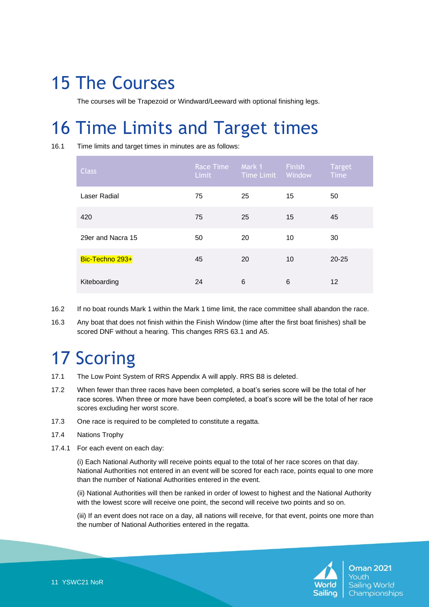#### 15 The Courses

The courses will be Trapezoid or Windward/Leeward with optional finishing legs.

# 16 Time Limits and Target times

16.1 Time limits and target times in minutes are as follows:

| <b>Class</b>      | Race Time<br><b>Limit</b> | Mark 1<br>Time Limit | Finish<br>Window | <b>Target</b><br><b>Time</b> |
|-------------------|---------------------------|----------------------|------------------|------------------------------|
| Laser Radial      | 75                        | 25                   | 15               | 50                           |
| 420               | 75                        | 25                   | 15               | 45                           |
| 29er and Nacra 15 | 50                        | 20                   | 10               | 30                           |
| Bic-Techno 293+   | 45                        | 20                   | 10               | $20 - 25$                    |
| Kiteboarding      | 24                        | 6                    | 6                | 12                           |

- 16.2 If no boat rounds Mark 1 within the Mark 1 time limit, the race committee shall abandon the race.
- 16.3 Any boat that does not finish within the Finish Window (time after the first boat finishes) shall be scored DNF without a hearing. This changes RRS 63.1 and A5.

# 17 Scoring

- 17.1 The Low Point System of RRS Appendix A will apply. RRS B8 is deleted.
- 17.2 When fewer than three races have been completed, a boat's series score will be the total of her race scores. When three or more have been completed, a boat's score will be the total of her race scores excluding her worst score.
- 17.3 One race is required to be completed to constitute a regatta.
- 17.4 Nations Trophy
- 17.4.1 For each event on each day:

(i) Each National Authority will receive points equal to the total of her race scores on that day. National Authorities not entered in an event will be scored for each race, points equal to one more than the number of National Authorities entered in the event.

(ii) National Authorities will then be ranked in order of lowest to highest and the National Authority with the lowest score will receive one point, the second will receive two points and so on.

(iii) If an event does not race on a day, all nations will receive, for that event, points one more than the number of National Authorities entered in the regatta.

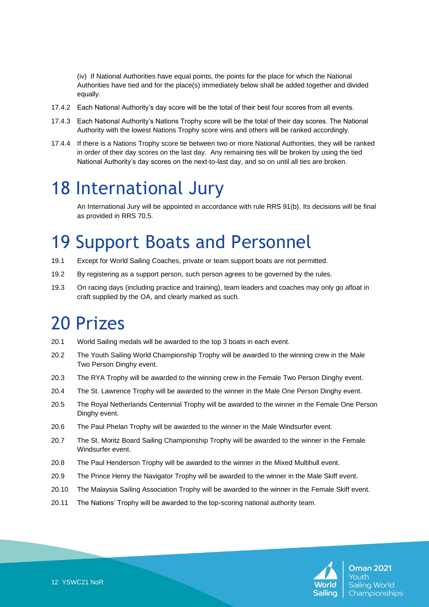(iv) If National Authorities have equal points, the points for the place for which the National Authorities have tied and for the place(s) immediately below shall be added together and divided equally.

- 17.4.2 Each National Authority's day score will be the total of their best four scores from all events.
- 17.4.3 Each National Authority's Nations Trophy score will be the total of their day scores. The National Authority with the lowest Nations Trophy score wins and others will be ranked accordingly.
- 17.4.4 If there is a Nations Trophy score tie between two or more National Authorities, they will be ranked in order of their day scores on the last day. Any remaining ties will be broken by using the tied National Authority's day scores on the next-to-last day, and so on until all ties are broken.

#### 18 International Jury

An International Jury will be appointed in accordance with rule RRS 91(b). Its decisions will be final as provided in RRS 70.5.

# 19 Support Boats and Personnel

- 19.1 Except for World Sailing Coaches, private or team support boats are not permitted.
- 19.2 By registering as a support person, such person agrees to be governed by the rules.
- 19.3 On racing days (including practice and training), team leaders and coaches may only go afloat in craft supplied by the OA, and clearly marked as such.

#### 20 Prizes

- 20.1 World Sailing medals will be awarded to the top 3 boats in each event.
- 20.2 The Youth Sailing World Championship Trophy will be awarded to the winning crew in the Male Two Person Dinghy event.
- 20.3 The RYA Trophy will be awarded to the winning crew in the Female Two Person Dinghy event.
- 20.4 The St. Lawrence Trophy will be awarded to the winner in the Male One Person Dinghy event.
- 20.5 The Royal Netherlands Centennial Trophy will be awarded to the winner in the Female One Person Dinghy event.
- 20.6 The Paul Phelan Trophy will be awarded to the winner in the Male Windsurfer event.
- 20.7 The St. Moritz Board Sailing Championship Trophy will be awarded to the winner in the Female Windsurfer event.
- 20.8 The Paul Henderson Trophy will be awarded to the winner in the Mixed Multihull event.
- 20.9 The Prince Henry the Navigator Trophy will be awarded to the winner in the Male Skiff event.
- 20.10 The Malaysia Sailing Association Trophy will be awarded to the winner in the Female Skiff event.
- 20.11 The Nations' Trophy will be awarded to the top-scoring national authority team.

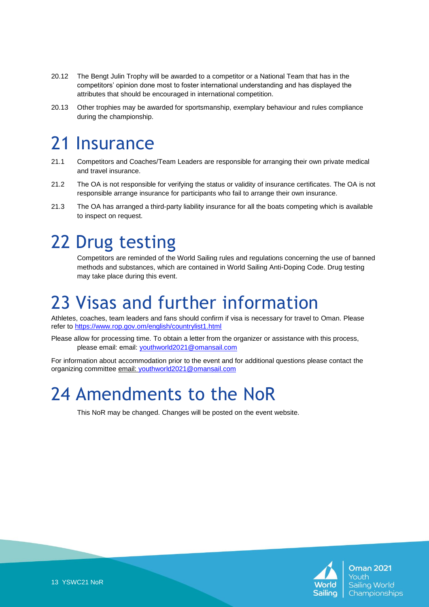- 20.12 The Bengt Julin Trophy will be awarded to a competitor or a National Team that has in the competitors' opinion done most to foster international understanding and has displayed the attributes that should be encouraged in international competition.
- 20.13 Other trophies may be awarded for sportsmanship, exemplary behaviour and rules compliance during the championship.

#### 21 Insurance

- 21.1 Competitors and Coaches/Team Leaders are responsible for arranging their own private medical and travel insurance.
- 21.2 The OA is not responsible for verifying the status or validity of insurance certificates. The OA is not responsible arrange insurance for participants who fail to arrange their own insurance.
- 21.3 The OA has arranged a third-party liability insurance for all the boats competing which is available to inspect on request.

# 22 Drug testing

Competitors are reminded of the World Sailing rules and regulations concerning the use of banned methods and substances, which are contained in World Sailing Anti-Doping Code. Drug testing may take place during this event.

#### 23 Visas and further information

Athletes, coaches, team leaders and fans should confirm if visa is necessary for travel to Oman. Please refer to <https://www.rop.gov.om/english/countrylist1.html>

Please allow for processing time. To obtain a letter from the organizer or assistance with this process, please email: [email:](mailto:moayed.albusaidi@omansail.com) [youthworld2021@omansail.com](mailto:youthworld2021@omansail.com)

For information about accommodation prior to the event and for additional questions please contact the organizing committee [email:](mailto:moayed.albusaidi@omansail.com) [youthworld2021@omansail.com](mailto:youthworld2021@omansail.com)

#### 24 Amendments to the NoR

This NoR may be changed. Changes will be posted on the event website.

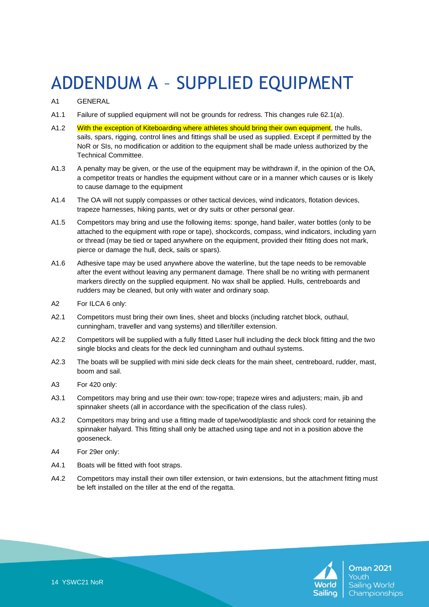# ADDENDUM A – SUPPLIED EQUIPMENT

#### A1 GENERAL

- A1.1 Failure of supplied equipment will not be grounds for redress. This changes rule 62.1(a).
- A1.2 With the exception of Kiteboarding where athletes should bring their own equipment, the hulls, sails, spars, rigging, control lines and fittings shall be used as supplied. Except if permitted by the NoR or SIs, no modification or addition to the equipment shall be made unless authorized by the Technical Committee.
- A1.3 A penalty may be given, or the use of the equipment may be withdrawn if, in the opinion of the OA, a competitor treats or handles the equipment without care or in a manner which causes or is likely to cause damage to the equipment
- A1.4 The OA will not supply compasses or other tactical devices, wind indicators, flotation devices, trapeze harnesses, hiking pants, wet or dry suits or other personal gear.
- A1.5 Competitors may bring and use the following items: sponge, hand bailer, water bottles (only to be attached to the equipment with rope or tape), shockcords, compass, wind indicators, including yarn or thread (may be tied or taped anywhere on the equipment, provided their fitting does not mark, pierce or damage the hull, deck, sails or spars).
- A1.6 Adhesive tape may be used anywhere above the waterline, but the tape needs to be removable after the event without leaving any permanent damage. There shall be no writing with permanent markers directly on the supplied equipment. No wax shall be applied. Hulls, centreboards and rudders may be cleaned, but only with water and ordinary soap.
- A2 For ILCA 6 only:
- A2.1 Competitors must bring their own lines, sheet and blocks (including ratchet block, outhaul, cunningham, traveller and vang systems) and tiller/tiller extension.
- A2.2 Competitors will be supplied with a fully fitted Laser hull including the deck block fitting and the two single blocks and cleats for the deck led cunningham and outhaul systems.
- A2.3 The boats will be supplied with mini side deck cleats for the main sheet, centreboard, rudder, mast, boom and sail.
- A3 For 420 only:
- A3.1 Competitors may bring and use their own: tow-rope; trapeze wires and adjusters; main, jib and spinnaker sheets (all in accordance with the specification of the class rules).
- A3.2 Competitors may bring and use a fitting made of tape/wood/plastic and shock cord for retaining the spinnaker halyard. This fitting shall only be attached using tape and not in a position above the gooseneck.
- A4 For 29er only:
- A4.1 Boats will be fitted with foot straps.
- A4.2 Competitors may install their own tiller extension, or twin extensions, but the attachment fitting must be left installed on the tiller at the end of the regatta.